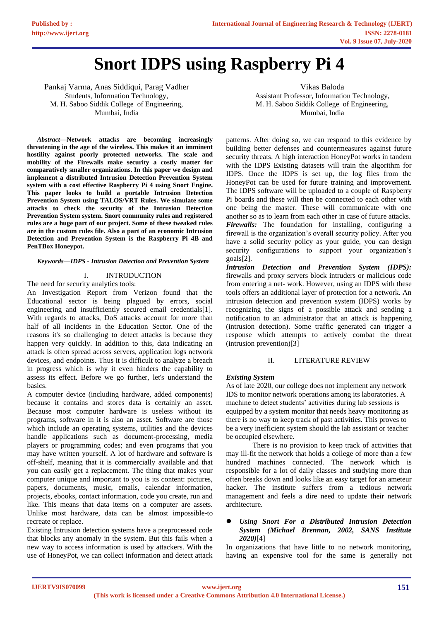# **Snort IDPS using Raspberry Pi 4**

Pankaj Varma, Anas Siddiqui, Parag Vadher Students, Information Technology, M. H. Saboo Siddik College of Engineering, Mumbai, India

*Abstract***—Network attacks are becoming increasingly threatening in the age of the wireless. This makes it an imminent hostility against poorly protected networks. The scale and mobility of the Firewalls make security a costly matter for comparatively smaller organizations. In this paper we design and implement a distributed Intrusion Detection Prevention System system with a cost effective Raspberry Pi 4 using Snort Engine. This paper looks to build a portable Intrusion Detection Prevention System using TALOS/VRT Rules. We simulate some attacks to check the security of the Intrusion Detection Prevention System system. Snort community rules and registered rules are a huge part of our project. Some of these tweaked rules are in the custom rules file. Also a part of an economic Intrusion Detection and Prevention System is the Raspberry Pi 4B and PenTBox Honeypot.**

## *Keywords—IDPS - Intrusion Detection and Prevention System*

## I. INTRODUCTION

The need for security analytics tools:

An Investigation Report from Verizon found that the Educational sector is being plagued by errors, social engineering and insufficiently secured email credentials[1]. With regards to attacks, DoS attacks account for more than half of all incidents in the Education Sector. One of the reasons it's so challenging to detect attacks is because they happen very quickly. In addition to this, data indicating an attack is often spread across servers, application logs network devices, and endpoints. Thus it is difficult to analyze a breach in progress which is why it even hinders the capability to assess its effect. Before we go further, let's understand the basics.

A computer device (including hardware, added components) because it contains and stores data is certainly an asset. Because most computer hardware is useless without its programs, software in it is also an asset. Software are those which include an operating systems, utilities and the devices handle applications such as document-processing, media players or programming codes; and even programs that you may have written yourself. A lot of hardware and software is off-shelf, meaning that it is commercially available and that you can easily get a replacement. The thing that makes your computer unique and important to you is its content: pictures, papers, documents, music, emails, calendar information, projects, ebooks, contact information, code you create, run and like. This means that data items on a computer are assets. Unlike most hardware, data can be almost impossible-to recreate or replace.

Existing Intrusion detection systems have a preprocessed code that blocks any anomaly in the system. But this fails when a new way to access information is used by attackers. With the use of HoneyPot, we can collect information and detect attack

Vikas Baloda Assistant Professor, Information Technology, M. H. Saboo Siddik College of Engineering, Mumbai, India

patterns. After doing so, we can respond to this evidence by building better defenses and countermeasures against future security threats. A high interaction HoneyPot works in tandem with the IDPS Existing datasets will train the algorithm for IDPS. Once the IDPS is set up, the log files from the HoneyPot can be used for future training and improvement. The IDPS software will be uploaded to a couple of Raspberry Pi boards and these will then be connected to each other with one being the master. These will communicate with one another so as to learn from each other in case of future attacks. *Firewalls:* The foundation for installing, configuring a firewall is the organization's overall security policy. After you have a solid security policy as your guide, you can design security configurations to support your organization's goals[2].

*Intrusion Detection and Prevention System (IDPS):*  firewalls and proxy servers block intruders or malicious code from entering a net- work. However, using an IDPS with these tools offers an additional layer of protection for a network. An intrusion detection and prevention system (IDPS) works by recognizing the signs of a possible attack and sending a notification to an administrator that an attack is happening (intrusion detection). Some traffic generated can trigger a response which attempts to actively combat the threat (intrusion prevention)[3]

# II. LITERATURE REVIEW

#### *Existing System*

As of late 2020, our college does not implement any network IDS to monitor network operations among its laboratories. A machine to detect students' activities during lab sessions is equipped by a system monitor that needs heavy monitoring as there is no way to keep track of past activities. This proves to be a very inefficient system should the lab assistant or teacher be occupied elsewhere.

There is no provision to keep track of activities that may ill-fit the network that holds a college of more than a few hundred machines connected. The network which is responsible for a lot of daily classes and studying more than often breaks down and looks like an easy target for an ameteur hacker. The institute suffers from a tedious network management and feels a dire need to update their network architecture.

# ⚫ *Using Snort For a Distributed Intrusion Detection System (Michael Brennan, 2002, SANS Institute 2020)*[4]

In organizations that have little to no network monitoring, having an expensive tool for the same is generally not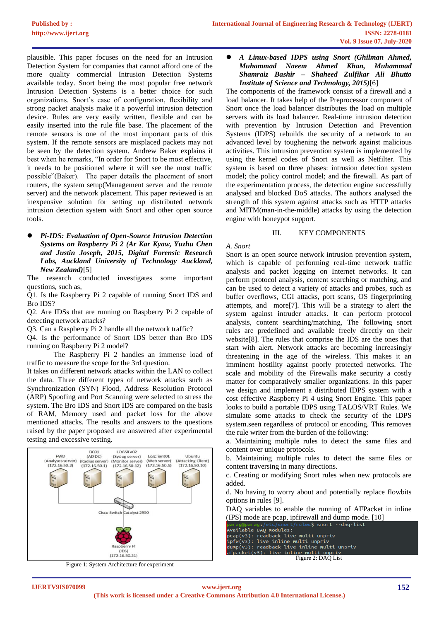plausible. This paper focuses on the need for an Intrusion Detection System for companies that cannot afford one of the more quality commercial Intrusion Detection Systems available today. Snort being the most popular free network Intrusion Detection Systems is a better choice for such organizations. Snort's ease of configuration, flexibility and strong packet analysis make it a powerful intrusion detection device. Rules are very easily written, flexible and can be easily inserted into the rule file base. The placement of the remote sensors is one of the most important parts of this system. If the remote sensors are misplaced packets may not be seen by the detection system. Andrew Baker explains it best when he remarks, "In order for Snort to be most effective, it needs to be positioned where it will see the most traffic possible"(Baker). The paper details the placement of snort routers, the system setup(Management server and the remote server) and the network placement. This paper reviewed is an inexpensive solution for setting up distributed network intrusion detection system with Snort and other open source tools.

⚫ *Pi-IDS: Evaluation of Open-Source Intrusion Detection Systems on Raspberry Pi 2 (Ar Kar Kyaw, Yuzhu Chen and Justin Joseph, 2015, Digital Forensic Research Labs, Auckland University of Technology Auckland, New Zealand)*[5]

The research conducted investigates some important questions, such as,

Q1. Is the Raspberry Pi 2 capable of running Snort IDS and Bro IDS?

Q2. Are IDSs that are running on Raspberry Pi 2 capable of detecting network attacks?

Q3. Can a Raspberry Pi 2 handle all the network traffic?

Q4. Is the performance of Snort IDS better than Bro IDS running on Raspberry Pi 2 model?

The Raspberry Pi 2 handles an immense load of traffic to measure the scope for the 3rd question.

It takes on different network attacks within the LAN to collect the data. Three different types of network attacks such as Synchronization (SYN) Flood, Address Resolution Protocol (ARP) Spoofing and Port Scanning were selected to stress the system. The Bro IDS and Snort IDS are compared on the basis of RAM, Memory used and packet loss for the above mentioned attacks. The results and answers to the questions raised by the paper proposed are answered after experimental testing and excessive testing.





## ⚫ *A Linux-based IDPS using Snort (Ghilman Ahmed, Muhammad Naeem Ahmed Khan, Muhammad Shamraiz Bashir – Shaheed Zulfikar Ali Bhutto Institute of Science and Technology, 2015)*[6]

The components of the framework consist of a firewall and a load balancer. It takes help of the Preprocessor component of Snort once the load balancer distributes the load on multiple servers with its load balancer. Real-time intrusion detection with prevention by Intrusion Detection and Prevention Systems (IDPS) rebuilds the security of a network to an advanced level by toughening the network against malicious activities. This intrusion prevention system is implemented by using the kernel codes of Snort as well as Netfilter. This system is based on three phases: intrusion detection system model; the policy control model; and the firewall. As part of the experimentation process, the detection engine successfully analysed and blocked DoS attacks. The authors analysed the strength of this system against attacks such as HTTP attacks and MITM(man-in-the-middle) attacks by using the detection engine with honeypot support.

#### III. KEY COMPONENTS

#### *A. Snort*

Snort is an open source network intrusion prevention system, which is capable of performing real-time network traffic analysis and packet logging on Internet networks. It can perform protocol analysis, content searching or matching, and can be used to detect a variety of attacks and probes, such as buffer overflows, CGI attacks, port scans, OS fingerprinting attempts, and more[7]. This will be a strategy to alert the system against intruder attacks. It can perform protocol analysis, content searching/matching, The following snort rules are predefined and available freely directly on their website[8]. The rules that comprise the IDS are the ones that start with alert. Network attacks are becoming increasingly threatening in the age of the wireless. This makes it an imminent hostility against poorly protected networks. The scale and mobility of the Firewalls make security a costly matter for comparatively smaller organizations. In this paper we design and implement a distributed IDPS system with a cost effective Raspberry Pi 4 using Snort Engine. This paper looks to build a portable IDPS using TALOS/VRT Rules. We simulate some attacks to check the security of the IDPS system.seen regardless of protocol or encoding. This removes the rule writer from the burden of the following:

a. Maintaining multiple rules to detect the same files and content over unique protocols.

b. Maintaining multiple rules to detect the same files or content traversing in many directions.

c. Creating or modifying Snort rules when new protocols are added.

d. No having to worry about and potentially replace flowbits options in rules [9].

DAQ variables to enable the running of AFPacket in inline (IPS) mode are pcap, ipfirewall and dump mode. [10]

Available DAQ modules: nververver components<br>in the property of the multi unpriver in the property<br>in the said of the multi unpriver dump(v3): readback live inline multi unprive afpacket(v5): live inline multi unpriv

Figure 2: DAQ List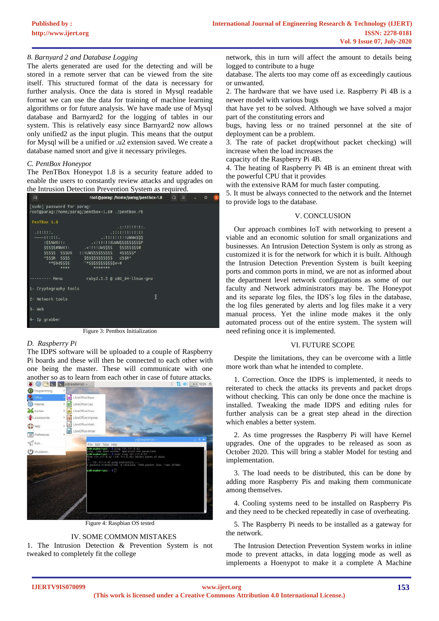# *B. Barnyard 2 and Database Logging*

The alerts generated are used for the detecting and will be stored in a remote server that can be viewed from the site itself. This structured format of the data is necessary for further analysis. Once the data is stored in Mysql readable format we can use the data for training of machine learning algorithms or for future analysis. We have made use of Mysql database and Barnyard2 for the logging of tables in our system. This is relatively easy since Barnyard2 now allows only unified2 as the input plugin. This means that the output for Mysql will be a unified or .u2 extension saved. We create a database named snort and give it necessary privileges.

## *C. PentBox Honeypot*

The PenTBox Honeypot 1.8 is a security feature added to enable the users to constantly review attacks and upgrades on the Intrusion Detection Prevention System as required.

| 凩                                                                           | root@parag:/home/parag/pentbox-1.8 $Q \equiv$                                                                                                                                                                                                                   |  | $\Box$ |  |
|-----------------------------------------------------------------------------|-----------------------------------------------------------------------------------------------------------------------------------------------------------------------------------------------------------------------------------------------------------------|--|--------|--|
| [sudo] password for parag:                                                  | root@parag:/home/parag/pentbox-1.8# ./pentbox.rb                                                                                                                                                                                                                |  |        |  |
| PenTBox 1.8<br>.111111.<br>$mmm$ [[[[[]].<br>^\$\$\$B \$\$\$\$<br>**SbdSSSS | .::!!!!!!!!!<br>$.$ : !!!!!!!!!!UWWWSSS<br>:SSNWX!!:<br>.: !!!!!!XUWWSSSSSSSSSSP<br>\$\$\$\$\$##WX!: . !!!UW\$\$\$\$ \$\$\$\$\$\$\$\$#<br \$5\$\$\$ \$\$\$UX :!!UW\$\$\$\$\$\$\$\$\$ 4\$\$\$\$\$*<br>SSSSSSSSSSSSS dSSR*<br>'*SSSSSSSSSSS0+#<br>****<br>******* |  |        |  |
| Menu                                                                        | ruby2.5.5 @ x86 64-linux-gnu                                                                                                                                                                                                                                    |  |        |  |
| 1- Cryptography tools                                                       |                                                                                                                                                                                                                                                                 |  |        |  |
| 2- Network tools                                                            | I                                                                                                                                                                                                                                                               |  |        |  |
| Web<br>3-<br>Ip grabber<br>4.                                               |                                                                                                                                                                                                                                                                 |  |        |  |
|                                                                             |                                                                                                                                                                                                                                                                 |  |        |  |

Figure 3: Pentbox Initialization

# *D. Raspberry Pi*

The IDPS software will be uploaded to a couple of Raspberry Pi boards and these will then be connected to each other with one being the master. These will communicate with one another so as to learn from each other in case of future attacks.



Figure 4: Raspbian OS tested

# IV. SOME COMMON MISTAKES

1. The Intrusion Detection & Prevention System is not tweaked to completely fit the college

network, this in turn will affect the amount to details being logged to contribute to a huge

database. The alerts too may come off as exceedingly cautious or unwanted.

2. The hardware that we have used i.e. Raspberry Pi 4B is a newer model with various bugs

that have yet to be solved. Although we have solved a major part of the constituting errors and

bugs, having less or no trained personnel at the site of deployment can be a problem.

3. The rate of packet drop(without packet checking) will increase when the load increases the

capacity of the Raspberry Pi 4B.

4. The heating of Raspberry Pi 4B is an eminent threat with the powerful CPU that it provides

with the extensive RAM for much faster computing.

5. It must be always connected to the network and the Internet to provide logs to the database.

## V. CONCLUSION

Our approach combines IoT with networking to present a viable and an economic solution for small organizations and businesses. An Intrusion Detection System is only as strong as customized it is for the network for which it is built. Although the Intrusion Detection Prevention System is built keeping ports and common ports in mind, we are not as informed about the department level network configurations as some of our faculty and Network administrators may be. The Honeypot and its separate log files, the IDS's log files in the database, the log files generated by alerts and log files make it a very manual process. Yet the inline mode makes it the only automated process out of the entire system. The system will need refining once it is implemented.

## VI. FUTURE SCOPE

Despite the limitations, they can be overcome with a little more work than what he intended to complete.

1. Correction. Once the IDPS is implemented, it needs to reiterated to check the attacks its prevents and packet drops without checking. This can only be done once the machine is installed. Tweaking the made IDPS and editing rules for further analysis can be a great step ahead in the direction which enables a better system.

2. As time progresses the Raspberry Pi will have Kernel upgrades. One of the upgrades to be released as soon as October 2020. This will bring a stabler Model for testing and implementation.

3. The load needs to be distributed, this can be done by adding more Raspberry Pis and making them communicate among themselves.

4. Cooling systems need to be installed on Raspberry Pis and they need to be checked repeatedly in case of overheating.

5. The Raspberry Pi needs to be installed as a gateway for the network.

The Intrusion Detection Prevention System works in inline mode to prevent attacks, in data logging mode as well as implements a Hoenypot to make it a complete A Machine